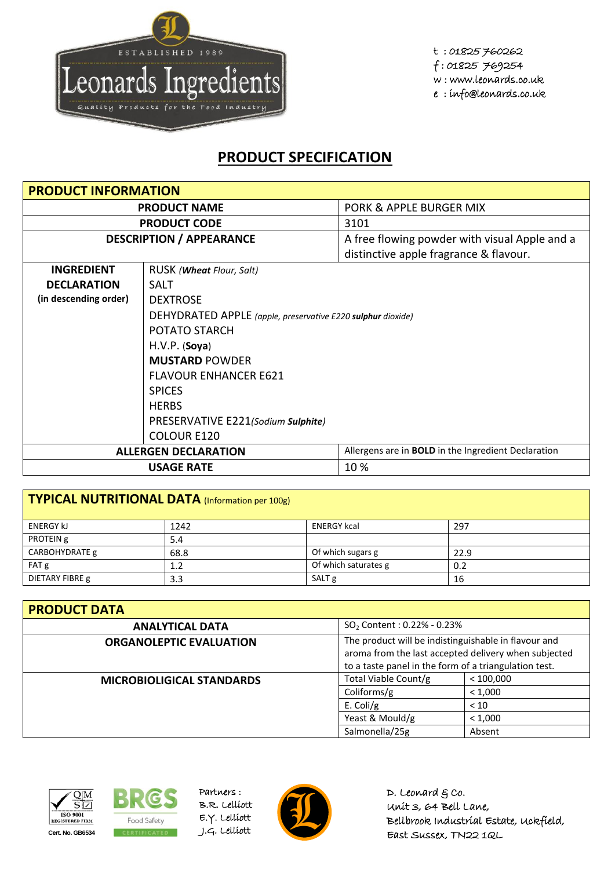

## **PRODUCT SPECIFICATION**

| <b>PRODUCT INFORMATION</b> |                                                                                           |                                               |  |
|----------------------------|-------------------------------------------------------------------------------------------|-----------------------------------------------|--|
| <b>PRODUCT NAME</b>        |                                                                                           | PORK & APPLE BURGER MIX                       |  |
|                            | <b>PRODUCT CODE</b>                                                                       | 3101                                          |  |
|                            | <b>DESCRIPTION / APPEARANCE</b>                                                           | A free flowing powder with visual Apple and a |  |
|                            |                                                                                           | distinctive apple fragrance & flavour.        |  |
| <b>INGREDIENT</b>          | RUSK ( <b>Wheat</b> Flour, Salt)                                                          |                                               |  |
| <b>DECLARATION</b>         | SALT                                                                                      |                                               |  |
| (in descending order)      | <b>DEXTROSE</b>                                                                           |                                               |  |
|                            | DEHYDRATED APPLE (apple, preservative E220 sulphur dioxide)                               |                                               |  |
|                            | POTATO STARCH                                                                             |                                               |  |
|                            | H.V.P. (Soya)                                                                             |                                               |  |
|                            | <b>MUSTARD POWDER</b>                                                                     |                                               |  |
|                            | <b>FLAVOUR ENHANCER E621</b>                                                              |                                               |  |
|                            | <b>SPICES</b>                                                                             |                                               |  |
|                            | <b>HERBS</b>                                                                              |                                               |  |
|                            | PRESERVATIVE E221(Sodium Sulphite)                                                        |                                               |  |
|                            | <b>COLOUR E120</b>                                                                        |                                               |  |
|                            | Allergens are in <b>BOLD</b> in the Ingredient Declaration<br><b>ALLERGEN DECLARATION</b> |                                               |  |
|                            | <b>USAGE RATE</b>                                                                         | 10 %                                          |  |

| TYPICAL NUTRITIONAL DATA (Information per 100g) |      |                      |      |  |
|-------------------------------------------------|------|----------------------|------|--|
| <b>ENERGY KJ</b>                                | 1242 | <b>ENERGY kcal</b>   | 297  |  |
| PROTEIN g                                       | 5.4  |                      |      |  |
| CARBOHYDRATE g                                  | 68.8 | Of which sugars g    | 22.9 |  |
| FAT g                                           | 1.2  | Of which saturates g | 0.2  |  |
| DIETARY FIBRE g                                 | 3.3  | SALT <sub>g</sub>    | 16   |  |

| <b>PRODUCT DATA</b>              |                                                                                                                                                                       |           |  |
|----------------------------------|-----------------------------------------------------------------------------------------------------------------------------------------------------------------------|-----------|--|
| <b>ANALYTICAL DATA</b>           | $SO_2$ Content : 0.22% - 0.23%                                                                                                                                        |           |  |
| <b>ORGANOLEPTIC EVALUATION</b>   | The product will be indistinguishable in flavour and<br>aroma from the last accepted delivery when subjected<br>to a taste panel in the form of a triangulation test. |           |  |
| <b>MICROBIOLIGICAL STANDARDS</b> | Total Viable Count/g                                                                                                                                                  | < 100,000 |  |
|                                  | Coliforms/g                                                                                                                                                           | < 1,000   |  |
|                                  | E. Coli/g                                                                                                                                                             | < 10      |  |
|                                  | Yeast & Mould/g                                                                                                                                                       | < 1,000   |  |
|                                  | Salmonella/25g                                                                                                                                                        | Absent    |  |





Partners : B.R. Lelliott E.Y. Lelliott



D. Leonard  $g$  co. Unit 3, 64 Bell Lane, Bellbrook Industrial Estate, Uckfield, East Sussex, TN22 1QL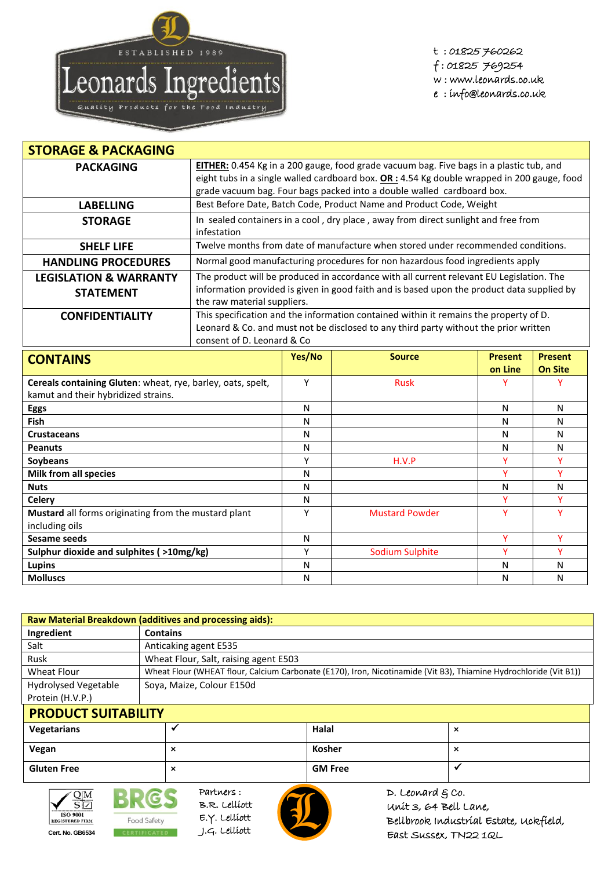

t : 01825 760262 f : 01825 769254 w : www.leonards.co.uk e : info@leonards.co.uk

| <b>STORAGE &amp; PACKAGING</b>                                                                     |                                                                                                                                                                                                                                                                   |              |                                                                                    |                           |                                  |
|----------------------------------------------------------------------------------------------------|-------------------------------------------------------------------------------------------------------------------------------------------------------------------------------------------------------------------------------------------------------------------|--------------|------------------------------------------------------------------------------------|---------------------------|----------------------------------|
| <b>PACKAGING</b>                                                                                   | EITHER: 0.454 Kg in a 200 gauge, food grade vacuum bag. Five bags in a plastic tub, and<br>eight tubs in a single walled cardboard box. $OR: 4.54$ Kg double wrapped in 200 gauge, food<br>grade vacuum bag. Four bags packed into a double walled cardboard box. |              |                                                                                    |                           |                                  |
| <b>LABELLING</b>                                                                                   |                                                                                                                                                                                                                                                                   |              | Best Before Date, Batch Code, Product Name and Product Code, Weight                |                           |                                  |
| <b>STORAGE</b>                                                                                     | infestation                                                                                                                                                                                                                                                       |              | In sealed containers in a cool, dry place, away from direct sunlight and free from |                           |                                  |
| <b>SHELF LIFE</b>                                                                                  |                                                                                                                                                                                                                                                                   |              | Twelve months from date of manufacture when stored under recommended conditions.   |                           |                                  |
| <b>HANDLING PROCEDURES</b>                                                                         |                                                                                                                                                                                                                                                                   |              | Normal good manufacturing procedures for non hazardous food ingredients apply      |                           |                                  |
| <b>LEGISLATION &amp; WARRANTY</b><br><b>STATEMENT</b>                                              | The product will be produced in accordance with all current relevant EU Legislation. The<br>information provided is given in good faith and is based upon the product data supplied by<br>the raw material suppliers.                                             |              |                                                                                    |                           |                                  |
| <b>CONFIDENTIALITY</b>                                                                             | This specification and the information contained within it remains the property of D.<br>Leonard & Co. and must not be disclosed to any third party without the prior written<br>consent of D. Leonard & Co                                                       |              |                                                                                    |                           |                                  |
| <b>CONTAINS</b>                                                                                    |                                                                                                                                                                                                                                                                   | Yes/No       | <b>Source</b>                                                                      | <b>Present</b><br>on Line | <b>Present</b><br><b>On Site</b> |
| Cereals containing Gluten: wheat, rye, barley, oats, spelt,<br>kamut and their hybridized strains. |                                                                                                                                                                                                                                                                   | Y            | <b>Rusk</b>                                                                        | ٧                         | Y                                |
| <b>Eggs</b>                                                                                        |                                                                                                                                                                                                                                                                   | N            |                                                                                    | $\mathsf{N}$              | $\mathsf{N}$                     |
| Fish                                                                                               |                                                                                                                                                                                                                                                                   | N            |                                                                                    | N                         | N                                |
| <b>Crustaceans</b>                                                                                 |                                                                                                                                                                                                                                                                   | N            |                                                                                    | $\mathsf{N}$              | $\mathsf{N}$                     |
| <b>Peanuts</b>                                                                                     |                                                                                                                                                                                                                                                                   | N            |                                                                                    | N                         | N                                |
| Soybeans                                                                                           |                                                                                                                                                                                                                                                                   | Υ            | H.V.P                                                                              | Ÿ                         | Ÿ                                |
| <b>Milk from all species</b>                                                                       |                                                                                                                                                                                                                                                                   | N            |                                                                                    | Ÿ                         | Ÿ                                |
| <b>Nuts</b>                                                                                        |                                                                                                                                                                                                                                                                   | $\mathsf{N}$ |                                                                                    | N                         | $\mathsf{N}$                     |
| <b>Celery</b>                                                                                      |                                                                                                                                                                                                                                                                   | N            |                                                                                    | Ÿ                         | Ÿ                                |
| Mustard all forms originating from the mustard plant<br>including oils                             |                                                                                                                                                                                                                                                                   | Y            | <b>Mustard Powder</b>                                                              | Ÿ                         | Y                                |
| <b>Sesame seeds</b>                                                                                |                                                                                                                                                                                                                                                                   | N            |                                                                                    | Y                         | Y                                |
| Sulphur dioxide and sulphites (>10mg/kg)                                                           |                                                                                                                                                                                                                                                                   | Υ            | <b>Sodium Sulphite</b>                                                             | Y                         | Y                                |
| <b>Lupins</b>                                                                                      |                                                                                                                                                                                                                                                                   | N            |                                                                                    | N                         | $\mathsf{N}$                     |
| <b>Molluscs</b>                                                                                    |                                                                                                                                                                                                                                                                   | N            |                                                                                    | N                         | N                                |

| Raw Material Breakdown (additives and processing aids): |                                                                         |               |                                                                                                                   |  |  |
|---------------------------------------------------------|-------------------------------------------------------------------------|---------------|-------------------------------------------------------------------------------------------------------------------|--|--|
| Ingredient                                              | <b>Contains</b>                                                         |               |                                                                                                                   |  |  |
| Salt                                                    | Anticaking agent E535                                                   |               |                                                                                                                   |  |  |
| Rusk                                                    | Wheat Flour, Salt, raising agent E503                                   |               |                                                                                                                   |  |  |
| Wheat Flour                                             |                                                                         |               | Wheat Flour (WHEAT flour, Calcium Carbonate (E170), Iron, Nicotinamide (Vit B3), Thiamine Hydrochloride (Vit B1)) |  |  |
| <b>Hydrolysed Vegetable</b>                             | Sova, Maize, Colour E150d                                               |               |                                                                                                                   |  |  |
| Protein (H.V.P.)                                        |                                                                         |               |                                                                                                                   |  |  |
| <b>PRODUCT SUITABILITY</b>                              |                                                                         |               |                                                                                                                   |  |  |
| Vegetarians                                             | ✔                                                                       | Halal         | $\boldsymbol{\mathsf{x}}$                                                                                         |  |  |
| Vegan                                                   | $\boldsymbol{\mathsf{x}}$                                               | <b>Kosher</b> | $\boldsymbol{\mathsf{x}}$                                                                                         |  |  |
| <b>Gluten Free</b>                                      | <b>GM Free</b><br>$\overline{\phantom{a}}$<br>$\boldsymbol{\mathsf{x}}$ |               |                                                                                                                   |  |  |



BRG. Food Safety





D. Leonard  $g$  co. Unit 3, 64 Bell Lane, Bellbrook Industrial Estate, Uckfield, East Sussex, TN22 1QL